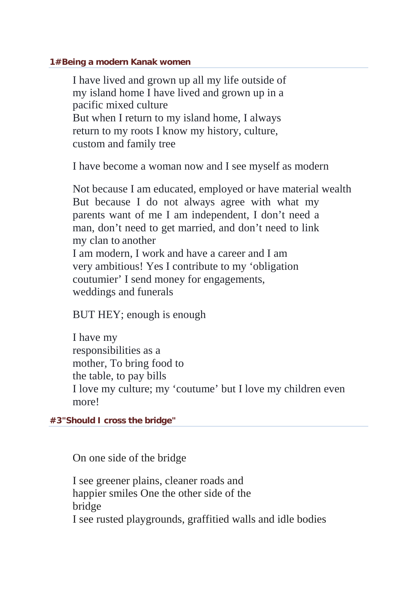## **1#Being a modern Kanak women**

I have lived and grown up all my life outside of my island home I have lived and grown up in a pacific mixed culture But when I return to my island home, I always return to my roots I know my history, culture, custom and family tree

I have become a woman now and I see myself as modern

Not because I am educated, employed or have material wealth But because I do not always agree with what my parents want of me I am independent, I don't need a man, don't need to get married, and don't need to link my clan to another I am modern, I work and have a career and I am very ambitious! Yes I contribute to my 'obligation coutumier' I send money for engagements, weddings and funerals

BUT HEY; enough is enough

I have my responsibilities as a mother, To bring food to the table, to pay bills I love my culture; my 'coutume' but I love my children even more!

**#3"Should I cross the bridge"**

On one side of the bridge

I see greener plains, cleaner roads and happier smiles One the other side of the bridge I see rusted playgrounds, graffitied walls and idle bodies